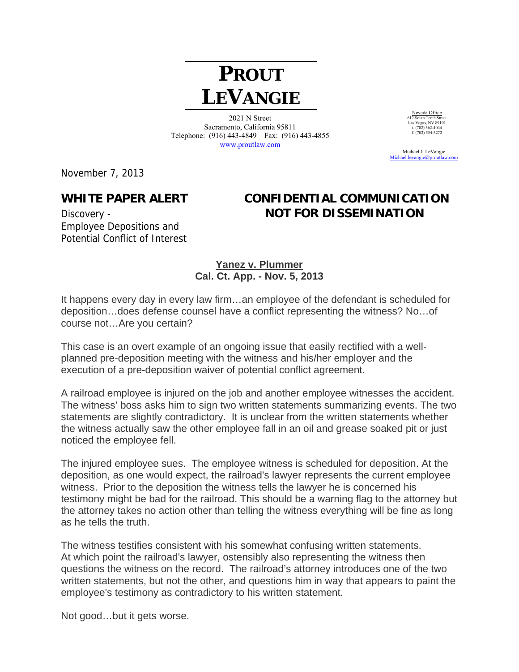## **PROUT LEVANGIE**

2021 N Street Sacramento, California 95811 Telephone: (916) 443-4849 Fax: (916) 443-4855 www.proutlaw.com

Nevada Office 612 South Tenth Street Las Vegas, NV 89101 t. (702) 562-4044 f. (702) 554-3272

 Michael J. LeVangie Michael.levangie@proutlaw

November 7, 2013

Employee Depositions and Potential Conflict of Interest

## **WHITE PAPER ALERT CONFIDENTIAL COMMUNICATION**  Discovery - **NOT FOR DISSEMINATION**

**Yanez v. Plummer Cal. Ct. App. - Nov. 5, 2013** 

It happens every day in every law firm…an employee of the defendant is scheduled for deposition…does defense counsel have a conflict representing the witness? No…of course not…Are you certain?

This case is an overt example of an ongoing issue that easily rectified with a wellplanned pre-deposition meeting with the witness and his/her employer and the execution of a pre-deposition waiver of potential conflict agreement.

A railroad employee is injured on the job and another employee witnesses the accident. The witness' boss asks him to sign two written statements summarizing events. The two statements are slightly contradictory. It is unclear from the written statements whether the witness actually saw the other employee fall in an oil and grease soaked pit or just noticed the employee fell.

The injured employee sues. The employee witness is scheduled for deposition. At the deposition, as one would expect, the railroad's lawyer represents the current employee witness. Prior to the deposition the witness tells the lawyer he is concerned his testimony might be bad for the railroad. This should be a warning flag to the attorney but the attorney takes no action other than telling the witness everything will be fine as long as he tells the truth.

The witness testifies consistent with his somewhat confusing written statements. At which point the railroad's lawyer, ostensibly also representing the witness then questions the witness on the record. The railroad's attorney introduces one of the two written statements, but not the other, and questions him in way that appears to paint the employee's testimony as contradictory to his written statement.

Not good…but it gets worse.